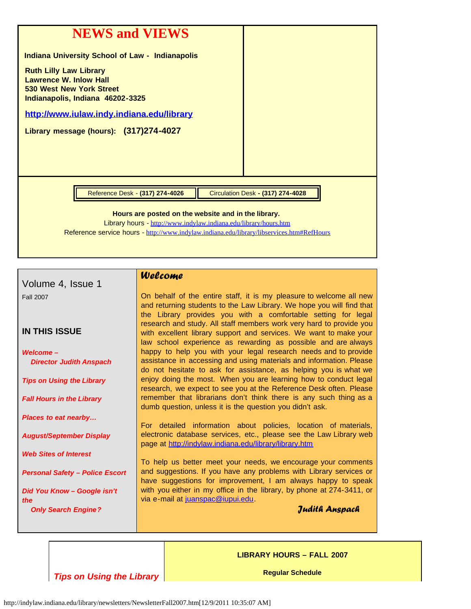| <b>NEWS and VIEWS</b><br><b>Indiana University School of Law - Indianapolis</b>                                                                                                                                      |                                          |  |  |  |
|----------------------------------------------------------------------------------------------------------------------------------------------------------------------------------------------------------------------|------------------------------------------|--|--|--|
| <b>Ruth Lilly Law Library</b><br><b>Lawrence W. Inlow Hall</b><br><b>530 West New York Street</b><br>Indianapolis, Indiana 46202-3325                                                                                |                                          |  |  |  |
| http://www.iulaw.indy.indiana.edu/library                                                                                                                                                                            |                                          |  |  |  |
| Library message (hours): (317) 274-4027                                                                                                                                                                              |                                          |  |  |  |
|                                                                                                                                                                                                                      |                                          |  |  |  |
|                                                                                                                                                                                                                      |                                          |  |  |  |
|                                                                                                                                                                                                                      |                                          |  |  |  |
| Reference Desk - (317) 274-4026                                                                                                                                                                                      | <b>Circulation Desk - (317) 274-4028</b> |  |  |  |
| Hours are posted on the website and in the library.<br>Library hours - http://www.indylaw.indiana.edu/library/hours.htm<br>Reference service hours - http://www.indylaw.indiana.edu/library/libservices.htm#RefHours |                                          |  |  |  |

|                                        | Welcome                                                                                                                                  |
|----------------------------------------|------------------------------------------------------------------------------------------------------------------------------------------|
| Volume 4, Issue 1                      |                                                                                                                                          |
| <b>Fall 2007</b>                       | On behalf of the entire staff, it is my pleasure to welcome all new                                                                      |
|                                        | and returning students to the Law Library. We hope you will find that                                                                    |
|                                        | the Library provides you with a comfortable setting for legal                                                                            |
| <b>IN THIS ISSUE</b>                   | research and study. All staff members work very hard to provide you<br>with excellent library support and services. We want to make your |
|                                        | law school experience as rewarding as possible and are always                                                                            |
| <b>Welcome-</b>                        | happy to help you with your legal research needs and to provide                                                                          |
| <b>Director Judith Anspach</b>         | assistance in accessing and using materials and information. Please                                                                      |
|                                        | do not hesitate to ask for assistance, as helping you is what we<br>enjoy doing the most. When you are learning how to conduct legal     |
| <b>Tips on Using the Library</b>       | research, we expect to see you at the Reference Desk often. Please                                                                       |
| <b>Fall Hours in the Library</b>       | remember that librarians don't think there is any such thing as a                                                                        |
|                                        | dumb question, unless it is the question you didn't ask.                                                                                 |
| <b>Places to eat nearby</b>            | For detailed information about policies, location of materials,                                                                          |
| <b>August/September Display</b>        | electronic database services, etc., please see the Law Library web                                                                       |
|                                        | page at http://indylaw.indiana.edu/library/library.htm                                                                                   |
| <b>Web Sites of Interest</b>           |                                                                                                                                          |
| <b>Personal Safety - Police Escort</b> | To help us better meet your needs, we encourage your comments<br>and suggestions. If you have any problems with Library services or      |
|                                        | have suggestions for improvement, I am always happy to speak                                                                             |
| Did You Know - Google isn't            | with you either in my office in the library, by phone at 274-3411, or                                                                    |
| the                                    | via e-mail at juanspac@iupui.edu                                                                                                         |
| <b>Only Search Engine?</b>             | Judith Anspach                                                                                                                           |
|                                        |                                                                                                                                          |
|                                        |                                                                                                                                          |

*Tips on Using the Library*

Г

**LIBRARY HOURS – FALL 2007**

**Regular Schedule**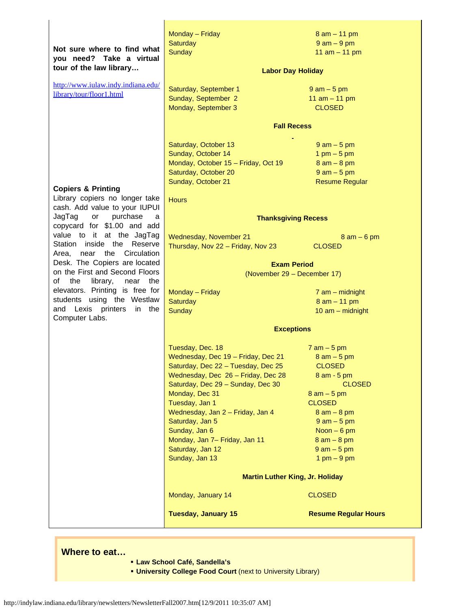| Not sure where to find what<br>you need? Take a virtual<br>tour of the law library<br>http://www.iulaw.indy.indiana.edu/ | Monday - Friday<br><b>Saturday</b><br><b>Sunday</b><br><b>Labor Day Holiday</b> | $8$ am $-$ 11 pm<br>$9 am - 9 pm$<br>11 $am - 11 pm$ |
|--------------------------------------------------------------------------------------------------------------------------|---------------------------------------------------------------------------------|------------------------------------------------------|
| library/tour/floor1.html                                                                                                 | Saturday, September 1<br>Sunday, September 2                                    | $9$ am $-5$ pm<br>11 $am - 11 pm$                    |
|                                                                                                                          | Monday, September 3                                                             | <b>CLOSED</b>                                        |
|                                                                                                                          | <b>Fall Recess</b>                                                              |                                                      |
|                                                                                                                          | Saturday, October 13                                                            | $9$ am $-5$ pm                                       |
|                                                                                                                          | Sunday, October 14                                                              | $1 \text{ pm} - 5 \text{ pm}$                        |
|                                                                                                                          | Monday, October 15 - Friday, Oct 19                                             | $8 am - 8 pm$                                        |
|                                                                                                                          | Saturday, October 20                                                            | $9$ am $-5$ pm                                       |
| <b>Copiers &amp; Printing</b>                                                                                            | Sunday, October 21                                                              | <b>Resume Regular</b>                                |
| Library copiers no longer take<br>cash. Add value to your IUPUI                                                          | <b>Hours</b>                                                                    |                                                      |
| JagTag<br>purchase<br>or<br>а<br>copycard for \$1.00 and add                                                             | <b>Thanksgiving Recess</b>                                                      |                                                      |
| value to it at the JagTag                                                                                                | Wednesday, November 21                                                          | $8$ am $-6$ pm                                       |
| Station inside the<br>Reserve<br>Area, near the<br>Circulation                                                           | Thursday, Nov 22 - Friday, Nov 23                                               | <b>CLOSED</b>                                        |
| Desk. The Copiers are located                                                                                            |                                                                                 |                                                      |
| on the First and Second Floors                                                                                           | <b>Exam Period</b>                                                              |                                                      |
| of<br>near the<br>the<br>library,                                                                                        | (November 29 - December 17)                                                     |                                                      |
| elevators. Printing is free for                                                                                          | Monday - Friday                                                                 | $7$ am $-$ midnight                                  |
| students using the Westlaw                                                                                               | <b>Saturday</b>                                                                 | $8$ am $-$ 11 pm                                     |
| and Lexis printers<br>in the<br>Computer Labs.                                                                           | <b>Sunday</b>                                                                   | $10$ am $-$ midnight                                 |
|                                                                                                                          | <b>Exceptions</b>                                                               |                                                      |
|                                                                                                                          | Tuesday, Dec. 18                                                                | $7$ am $-5$ pm                                       |
|                                                                                                                          | Wednesday, Dec 19 - Friday, Dec 21                                              | $8 am - 5 pm$                                        |
|                                                                                                                          | Saturday, Dec 22 - Tuesday, Dec 25                                              | <b>CLOSED</b>                                        |
|                                                                                                                          | Wednesday, Dec 26 - Friday, Dec 28                                              | $8$ am $-5$ pm                                       |
|                                                                                                                          | Saturday, Dec 29 - Sunday, Dec 30                                               | <b>CLOSED</b>                                        |
|                                                                                                                          | Monday, Dec 31                                                                  | $8$ am $-5$ pm                                       |
|                                                                                                                          | Tuesday, Jan 1                                                                  | <b>CLOSED</b>                                        |
|                                                                                                                          | Wednesday, Jan 2 - Friday, Jan 4                                                | $8 am - 8 pm$                                        |
|                                                                                                                          | Saturday, Jan 5<br>Sunday, Jan 6                                                | $9$ am $-5$ pm<br>Noon $-6$ pm                       |
|                                                                                                                          | Monday, Jan 7- Friday, Jan 11                                                   | $8 am - 8 pm$                                        |
|                                                                                                                          | Saturday, Jan 12                                                                | $9$ am $-5$ pm                                       |
|                                                                                                                          | Sunday, Jan 13                                                                  | $1 \text{ pm} - 9 \text{ pm}$                        |
|                                                                                                                          | <b>Martin Luther King, Jr. Holiday</b>                                          |                                                      |
|                                                                                                                          | Monday, January 14                                                              | <b>CLOSED</b>                                        |
|                                                                                                                          | <b>Tuesday, January 15</b>                                                      | <b>Resume Regular Hours</b>                          |

## **Where to eat…**

- § **Law School Café, Sandella's**
- § **University College Food Court** (next to University Library)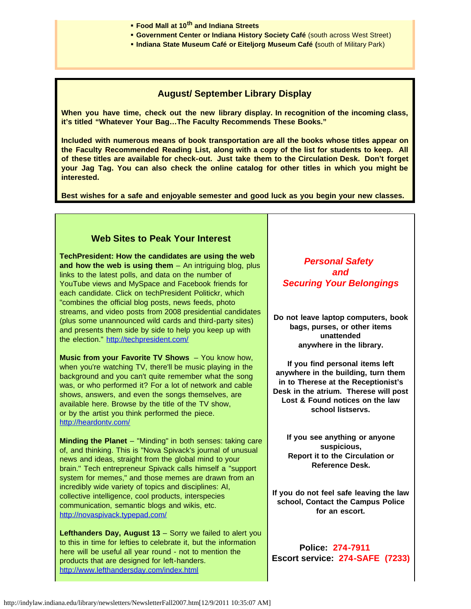- § **Food Mall at 10th and Indiana Streets**
- § **Government Center or Indiana History Society Café** (south across West Street)
- § **Indiana State Museum Café or Eiteljorg Museum Café (**south of Military Park)

## **August/ September Library Display**

**When you have time, check out the new library display. In recognition of the incoming class, it's titled "Whatever Your Bag…The Faculty Recommends These Books."**

**Included with numerous means of book transportation are all the books whose titles appear on the Faculty Recommended Reading List, along with a copy of the list for students to keep. All of these titles are available for check-out. Just take them to the Circulation Desk. Don't forget your Jag Tag. You can also check the online catalog for other titles in which you might be interested.**

**Best wishes for a safe and enjoyable semester and good luck as you begin your new classes.**

## **Web Sites to Peak Your Interest**

**TechPresident: How the candidates are using the web and how the web is using them** – An intriguing blog, plus links to the latest polls, and data on the number of YouTube views and MySpace and Facebook friends for each candidate. Click on techPresident Politickr, which "combines the official blog posts, news feeds, photo streams, and video posts from 2008 presidential candidates (plus some unannounced wild cards and third-party sites) and presents them side by side to help you keep up with the election." <http://techpresident.com/>

**Music from your Favorite TV Shows** – You know how, when you're watching TV, there'll be music playing in the background and you can't quite remember what the song was, or who performed it? For a lot of network and cable shows, answers, and even the songs themselves, are available here. Browse by the title of the TV show, or by the artist you think performed the piece. <http://heardontv.com/>

**Minding the Planet** – "Minding" in both senses: taking care of, and thinking. This is "Nova Spivack's journal of unusual news and ideas, straight from the global mind to your brain." Tech entrepreneur Spivack calls himself a "support system for memes," and those memes are drawn from an incredibly wide variety of topics and disciplines: AI, collective intelligence, cool products, interspecies communication, semantic blogs and wikis, etc. <http://novaspivack.typepad.com/>

**Lefthanders Day, August 13** – Sorry we failed to alert you to this in time for lefties to celebrate it, but the information here will be useful all year round - not to mention the products that are designed for left-handers. <http://www.lefthandersday.com/index.html>

 *Personal Safety and Securing Your Belongings*

**Do not leave laptop computers, book bags, purses, or other items unattended anywhere in the library.**

**If you find personal items left anywhere in the building, turn them in to Therese at the Receptionist's Desk in the atrium. Therese will post Lost & Found notices on the law school listservs.**

**If you see anything or anyone suspicious, Report it to the Circulation or Reference Desk.**

**If you do not feel safe leaving the law school, Contact the Campus Police for an escort.**

**Police: 274-7911 Escort service: 274-SAFE (7233)**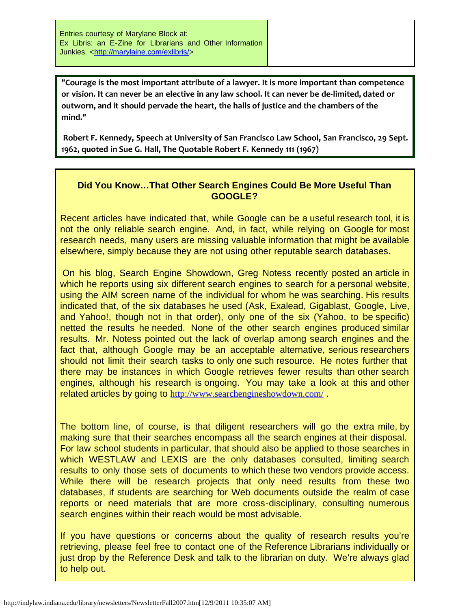**"Courage is the most important attribute of a lawyer. It is more important than competence or vision. It can never be an elective in any law school. It can never be de-limited, dated or outworn, and it should pervade the heart, the halls of justice and the chambers of the mind."** 

**Robert F. Kennedy, Speech at University of San Francisco Law School, San Francisco, 29 Sept. 1962, quoted in Sue G. Hall, The Quotable Robert F. Kennedy 111 (1967)**

## **Did You Know…That Other Search Engines Could Be More Useful Than GOOGLE?**

Recent articles have indicated that, while Google can be a useful research tool, it is not the only reliable search engine. And, in fact, while relying on Google for most research needs, many users are missing valuable information that might be available elsewhere, simply because they are not using other reputable search databases.

On his blog, Search Engine Showdown, Greg Notess recently posted an article in which he reports using six different search engines to search for a personal website, using the AIM screen name of the individual for whom he was searching. His results indicated that, of the six databases he used (Ask, Exalead, Gigablast, Google, Live, and Yahoo!, though not in that order), only one of the six (Yahoo, to be specific) netted the results he needed. None of the other search engines produced similar results. Mr. Notess pointed out the lack of overlap among search engines and the fact that, although Google may be an acceptable alternative, serious researchers should not limit their search tasks to only one such resource. He notes further that there may be instances in which Google retrieves fewer results than other search engines, although his research is ongoing. You may take a look at this and other related articles by going to <http://www.searchengineshowdown.com/> .

The bottom line, of course, is that diligent researchers will go the extra mile, by making sure that their searches encompass all the search engines at their disposal. For law school students in particular, that should also be applied to those searches in which WESTLAW and LEXIS are the only databases consulted, limiting search results to only those sets of documents to which these two vendors provide access. While there will be research projects that only need results from these two databases, if students are searching for Web documents outside the realm of case reports or need materials that are more cross-disciplinary, consulting numerous search engines within their reach would be most advisable.

If you have questions or concerns about the quality of research results you're retrieving, please feel free to contact one of the Reference Librarians individually or just drop by the Reference Desk and talk to the librarian on duty. We're always glad to help out.